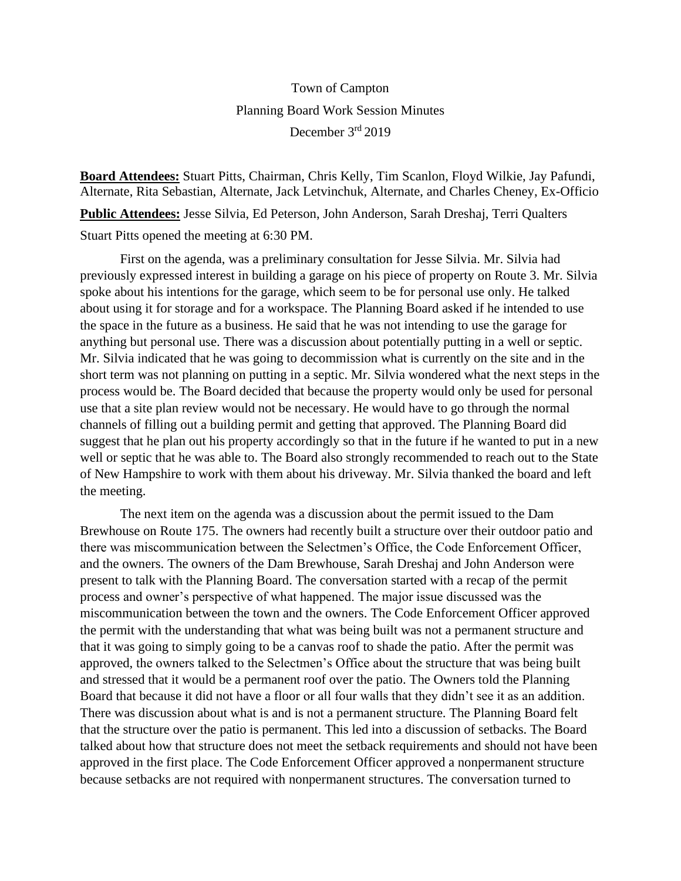## Town of Campton Planning Board Work Session Minutes December 3rd 2019

**Board Attendees:** Stuart Pitts, Chairman, Chris Kelly, Tim Scanlon, Floyd Wilkie, Jay Pafundi, Alternate, Rita Sebastian, Alternate, Jack Letvinchuk, Alternate, and Charles Cheney, Ex-Officio

**Public Attendees:** Jesse Silvia, Ed Peterson, John Anderson, Sarah Dreshaj, Terri Qualters

Stuart Pitts opened the meeting at 6:30 PM.

First on the agenda, was a preliminary consultation for Jesse Silvia. Mr. Silvia had previously expressed interest in building a garage on his piece of property on Route 3. Mr. Silvia spoke about his intentions for the garage, which seem to be for personal use only. He talked about using it for storage and for a workspace. The Planning Board asked if he intended to use the space in the future as a business. He said that he was not intending to use the garage for anything but personal use. There was a discussion about potentially putting in a well or septic. Mr. Silvia indicated that he was going to decommission what is currently on the site and in the short term was not planning on putting in a septic. Mr. Silvia wondered what the next steps in the process would be. The Board decided that because the property would only be used for personal use that a site plan review would not be necessary. He would have to go through the normal channels of filling out a building permit and getting that approved. The Planning Board did suggest that he plan out his property accordingly so that in the future if he wanted to put in a new well or septic that he was able to. The Board also strongly recommended to reach out to the State of New Hampshire to work with them about his driveway. Mr. Silvia thanked the board and left the meeting.

The next item on the agenda was a discussion about the permit issued to the Dam Brewhouse on Route 175. The owners had recently built a structure over their outdoor patio and there was miscommunication between the Selectmen's Office, the Code Enforcement Officer, and the owners. The owners of the Dam Brewhouse, Sarah Dreshaj and John Anderson were present to talk with the Planning Board. The conversation started with a recap of the permit process and owner's perspective of what happened. The major issue discussed was the miscommunication between the town and the owners. The Code Enforcement Officer approved the permit with the understanding that what was being built was not a permanent structure and that it was going to simply going to be a canvas roof to shade the patio. After the permit was approved, the owners talked to the Selectmen's Office about the structure that was being built and stressed that it would be a permanent roof over the patio. The Owners told the Planning Board that because it did not have a floor or all four walls that they didn't see it as an addition. There was discussion about what is and is not a permanent structure. The Planning Board felt that the structure over the patio is permanent. This led into a discussion of setbacks. The Board talked about how that structure does not meet the setback requirements and should not have been approved in the first place. The Code Enforcement Officer approved a nonpermanent structure because setbacks are not required with nonpermanent structures. The conversation turned to